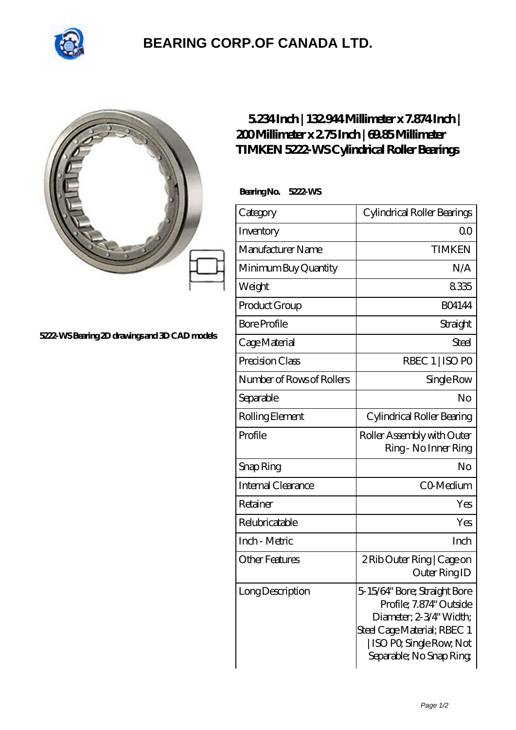

## **[BEARING CORP.OF CANADA LTD.](https://m.2sintermetalltechnik.de)**

## **[5222-WS Bearing 2D drawings and 3D CAD models](https://m.2sintermetalltechnik.de/pic-260361.html)**

## **[5.234 Inch | 132.944 Millimeter x 7.874 Inch |](https://m.2sintermetalltechnik.de/bs-260361-timken-5222-ws-cylindrical-roller-bearings.html) [200 Millimeter x 2.75 Inch | 69.85 Millimeter](https://m.2sintermetalltechnik.de/bs-260361-timken-5222-ws-cylindrical-roller-bearings.html) [TIMKEN 5222-WS Cylindrical Roller Bearings](https://m.2sintermetalltechnik.de/bs-260361-timken-5222-ws-cylindrical-roller-bearings.html)**

 **Bearing No. 5222-WS**

| Category                  | Cylindrical Roller Bearings                                                                                                                                             |
|---------------------------|-------------------------------------------------------------------------------------------------------------------------------------------------------------------------|
| Inventory                 | Q0                                                                                                                                                                      |
| Manufacturer Name         | <b>TIMKEN</b>                                                                                                                                                           |
| Minimum Buy Quantity      | N/A                                                                                                                                                                     |
| Weight                    | 8335                                                                                                                                                                    |
| Product Group             | <b>BO4144</b>                                                                                                                                                           |
| <b>Bore Profile</b>       | Straight                                                                                                                                                                |
| Cage Material             | <b>Steel</b>                                                                                                                                                            |
| Precision Class           | RBEC 1   ISO PO                                                                                                                                                         |
| Number of Rows of Rollers | Single Row                                                                                                                                                              |
| Separable                 | No                                                                                                                                                                      |
| Rolling Element           | Cylindrical Roller Bearing                                                                                                                                              |
| Profile                   | Roller Assembly with Outer<br>Ring - No Inner Ring                                                                                                                      |
| Snap Ring                 | No                                                                                                                                                                      |
| Internal Clearance        | CO-Medium                                                                                                                                                               |
| Retainer                  | Yes                                                                                                                                                                     |
| Relubricatable            | Yes                                                                                                                                                                     |
| Inch - Metric             | Inch                                                                                                                                                                    |
| <b>Other Features</b>     | 2 Rib Outer Ring   Cage on<br>Outer Ring ID                                                                                                                             |
| Long Description          | 5-15/64" Bore; Straight Bore<br>Profile; 7.874" Outside<br>Diameter, 2-3/4" Width;<br>Steel Cage Material; RBEC 1<br>ISO PO, Single Row, Not<br>Separable; No Snap Ring |